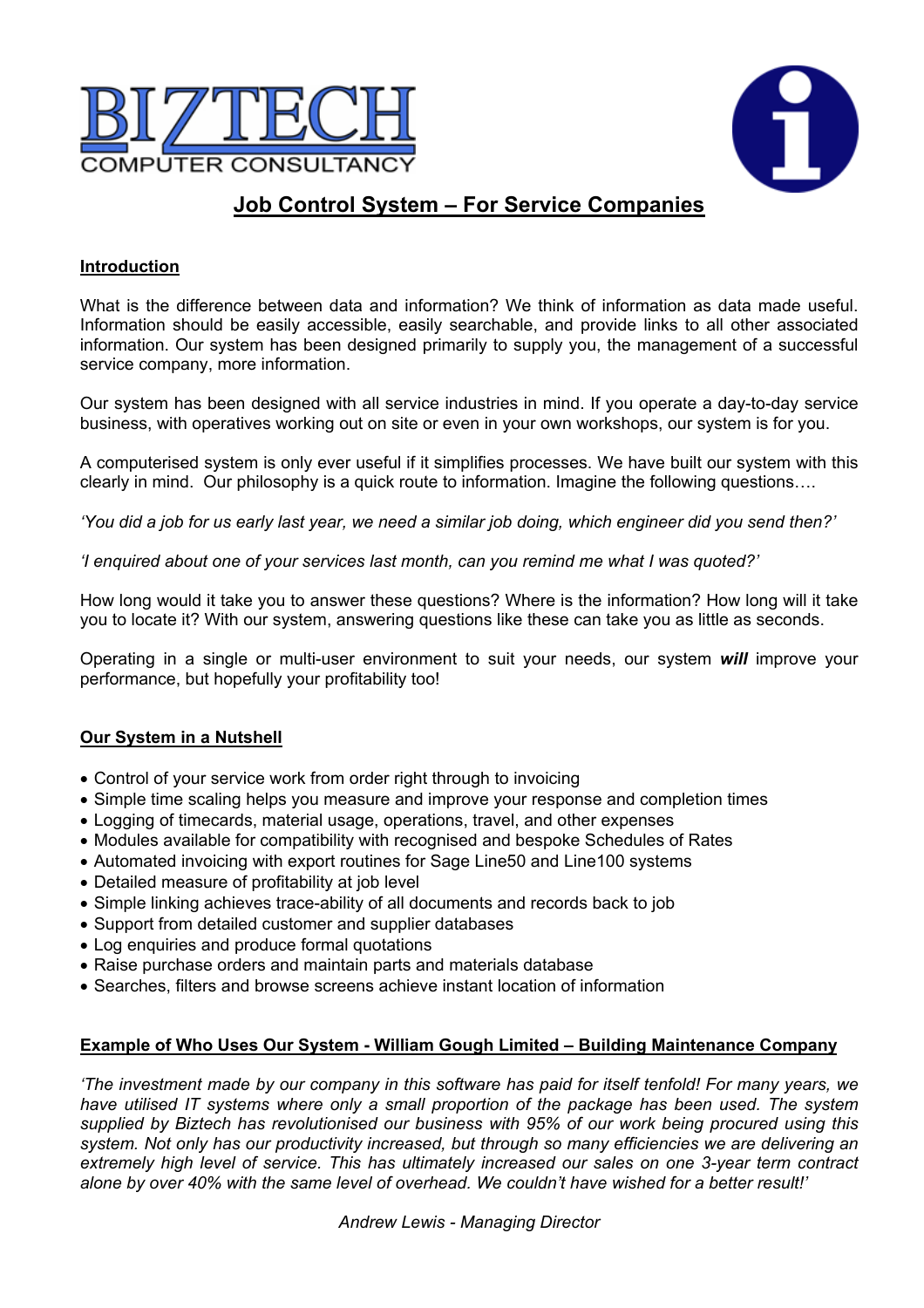



# **Job Control System – For Service Companies**

# **Introduction**

What is the difference between data and information? We think of information as data made useful. Information should be easily accessible, easily searchable, and provide links to all other associated information. Our system has been designed primarily to supply you, the management of a successful service company, more information.

Our system has been designed with all service industries in mind. If you operate a day-to-day service business, with operatives working out on site or even in your own workshops, our system is for you.

A computerised system is only ever useful if it simplifies processes. We have built our system with this clearly in mind. Our philosophy is a quick route to information. Imagine the following questions….

*'You did a job for us early last year, we need a similar job doing, which engineer did you send then?'* 

*'I enquired about one of your services last month, can you remind me what I was quoted?'* 

How long would it take you to answer these questions? Where is the information? How long will it take you to locate it? With our system, answering questions like these can take you as little as seconds.

Operating in a single or multi-user environment to suit your needs, our system *will* improve your performance, but hopefully your profitability too!

# **Our System in a Nutshell**

- Control of your service work from order right through to invoicing
- Simple time scaling helps you measure and improve your response and completion times
- Logging of timecards, material usage, operations, travel, and other expenses
- Modules available for compatibility with recognised and bespoke Schedules of Rates
- Automated invoicing with export routines for Sage Line50 and Line100 systems
- Detailed measure of profitability at job level
- Simple linking achieves trace-ability of all documents and records back to job
- Support from detailed customer and supplier databases
- Log enquiries and produce formal quotations
- Raise purchase orders and maintain parts and materials database
- Searches, filters and browse screens achieve instant location of information

#### **Example of Who Uses Our System - William Gough Limited – Building Maintenance Company**

*'The investment made by our company in this software has paid for itself tenfold! For many years, we*  have utilised IT systems where only a small proportion of the package has been used. The system *supplied by Biztech has revolutionised our business with 95% of our work being procured using this system. Not only has our productivity increased, but through so many efficiencies we are delivering an extremely high level of service. This has ultimately increased our sales on one 3-year term contract alone by over 40% with the same level of overhead. We couldn't have wished for a better result!'*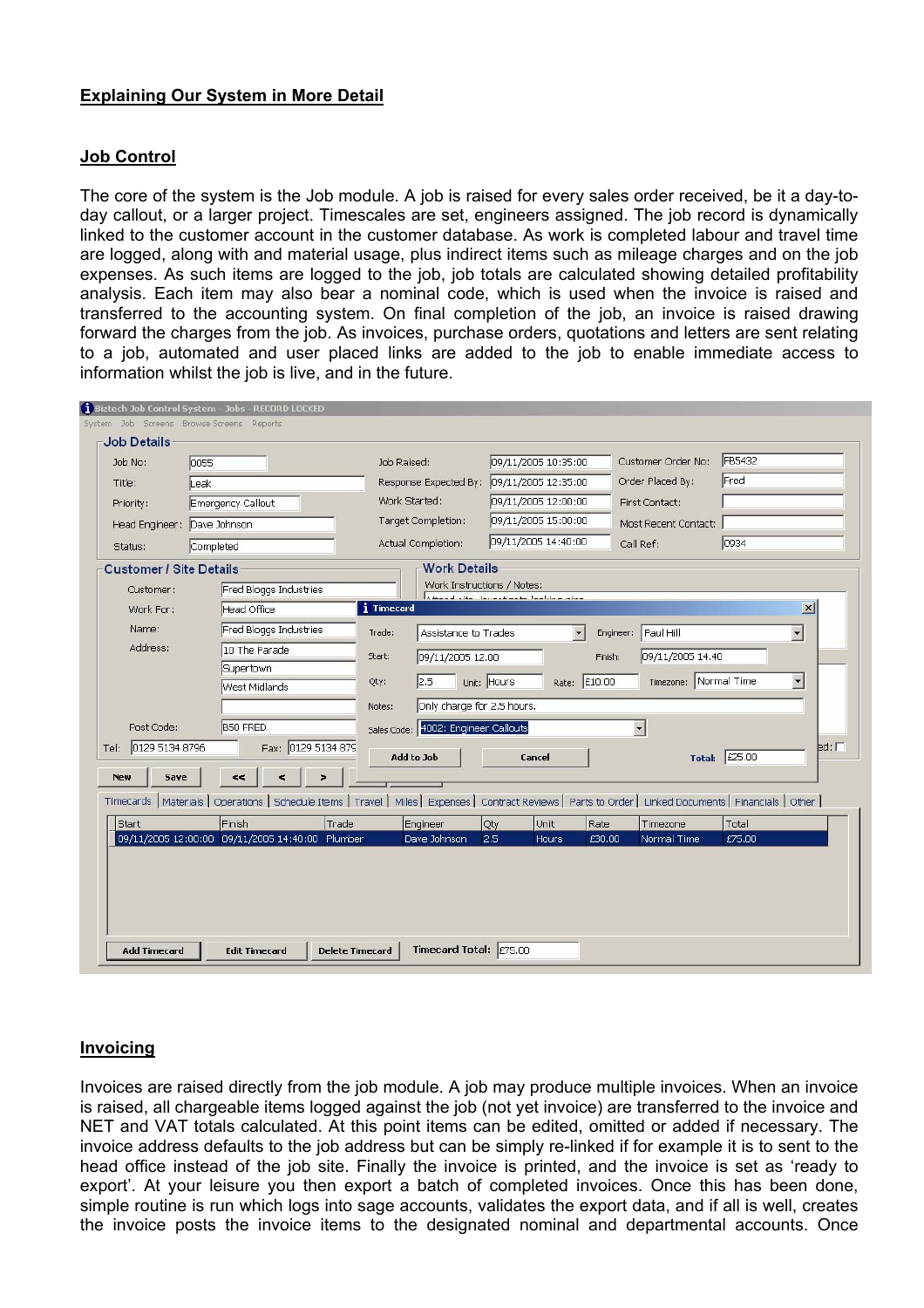# **Explaining Our System in More Detail**

### **Job Control**

The core of the system is the Job module. A job is raised for every sales order received, be it a day-today callout, or a larger project. Timescales are set, engineers assigned. The job record is dynamically linked to the customer account in the customer database. As work is completed labour and travel time are logged, along with and material usage, plus indirect items such as mileage charges and on the job expenses. As such items are logged to the job, job totals are calculated showing detailed profitability analysis. Each item may also bear a nominal code, which is used when the invoice is raised and transferred to the accounting system. On final completion of the job, an invoice is raised drawing forward the charges from the job. As invoices, purchase orders, quotations and letters are sent relating to a job, automated and user placed links are added to the job to enable immediate access to information whilst the job is live, and in the future.

|                                | System Job Screens Browse Screens Reports                 |                                                                                                                                                 |                                                      |                          |                                         |
|--------------------------------|-----------------------------------------------------------|-------------------------------------------------------------------------------------------------------------------------------------------------|------------------------------------------------------|--------------------------|-----------------------------------------|
| Job Details<br>Job No:         | 0055                                                      | Job Raised:                                                                                                                                     | 09/11/2005 10:35:00                                  | Customer Order No:       | FB5432                                  |
| Title:                         | Leak                                                      | Response Expected By:                                                                                                                           | 09/11/2005 12:35:00                                  | Order Placed By:         | Fred                                    |
| Priority:                      | Emergency Callout                                         | Work Started:                                                                                                                                   | 09/11/2005 12:00:00                                  | <b>First Contact:</b>    |                                         |
|                                | Dave Johnson                                              | Target Completion:                                                                                                                              | 09/11/2005 15:00:00                                  | Most Recent Contact:     |                                         |
| Head Engineer:<br>Status:      | Completed                                                 | Actual Completion:                                                                                                                              | 09/11/2005 14:40:00                                  | Call Ref:                | 0934                                    |
| <b>Customer / Site Details</b> |                                                           | <b>Work Details</b>                                                                                                                             |                                                      |                          |                                         |
| Customer:                      | Fred Bloggs Industries                                    | Work Instructions / Notes:                                                                                                                      |                                                      |                          |                                         |
| Work For:                      | Head Office                                               | <i>i</i> Timecard                                                                                                                               | a march is the composition for different school      |                          | $\vert x \vert$                         |
| Name:                          | Fred Bloggs Industries                                    | Assistance to Trades<br>Trade:                                                                                                                  | $\overline{\phantom{a}}$                             | Paul Hill<br>Engineer:   | Y                                       |
| Address:                       | 10 The Parade                                             | 09/11/2005 12.00<br>Start:                                                                                                                      | Finish:                                              | 09/11/2005 14.40         |                                         |
|                                | Supertown                                                 |                                                                                                                                                 |                                                      |                          |                                         |
|                                | West Midlands                                             | 2.5<br>Qty:                                                                                                                                     | Unit: Hours<br>Rate: £10.00                          | Timezone:                | $\overline{\phantom{a}}$<br>Normal Time |
|                                |                                                           | Only charge for 2.5 hours.<br>Notes:                                                                                                            |                                                      |                          |                                         |
| Post Code:                     | <b>B50 FRED</b>                                           | Sales Code: 4002: Engineer Callouts                                                                                                             |                                                      | $\overline{\phantom{0}}$ |                                         |
| 0129 5134 8796<br>Tel:         | Fax: 0129 5134 879                                        | Add to Job                                                                                                                                      | Cancel                                               |                          | $bd: \square$<br>Total: £25.00          |
| Save<br><b>New</b>             | ee.                                                       |                                                                                                                                                 |                                                      |                          |                                         |
|                                |                                                           |                                                                                                                                                 |                                                      |                          |                                         |
| Timecards                      |                                                           | Materials   Operations   Schedule Items   Travel   Miles   Expenses   Contract Reviews   Parts to Order   Linked Documents   Financials   Other |                                                      |                          |                                         |
| Start                          | Finish<br>09/11/2005 12:00:00 09/11/2005 14:40:00 Plumber | Trade<br>Engineer<br>Dave Johnson                                                                                                               | Qty<br>Unit<br>Rate<br>2,5<br>£30.00<br><b>Hours</b> | Timezone<br>Normal Time  | Total<br>£75.00                         |
|                                |                                                           |                                                                                                                                                 |                                                      |                          |                                         |
|                                |                                                           |                                                                                                                                                 |                                                      |                          |                                         |
|                                |                                                           |                                                                                                                                                 |                                                      |                          |                                         |
|                                |                                                           |                                                                                                                                                 |                                                      |                          |                                         |
|                                |                                                           |                                                                                                                                                 |                                                      |                          |                                         |
| <b>Add Timecard</b>            | <b>Edit Timecard</b>                                      | Timecard Total: $\left  \frac{275,00}{275,00} \right $<br><b>Delete Timecard</b>                                                                |                                                      |                          |                                         |

#### **Invoicing**

Invoices are raised directly from the job module. A job may produce multiple invoices. When an invoice is raised, all chargeable items logged against the job (not yet invoice) are transferred to the invoice and NET and VAT totals calculated. At this point items can be edited, omitted or added if necessary. The invoice address defaults to the job address but can be simply re-linked if for example it is to sent to the head office instead of the job site. Finally the invoice is printed, and the invoice is set as 'ready to export'. At your leisure you then export a batch of completed invoices. Once this has been done, simple routine is run which logs into sage accounts, validates the export data, and if all is well, creates the invoice posts the invoice items to the designated nominal and departmental accounts. Once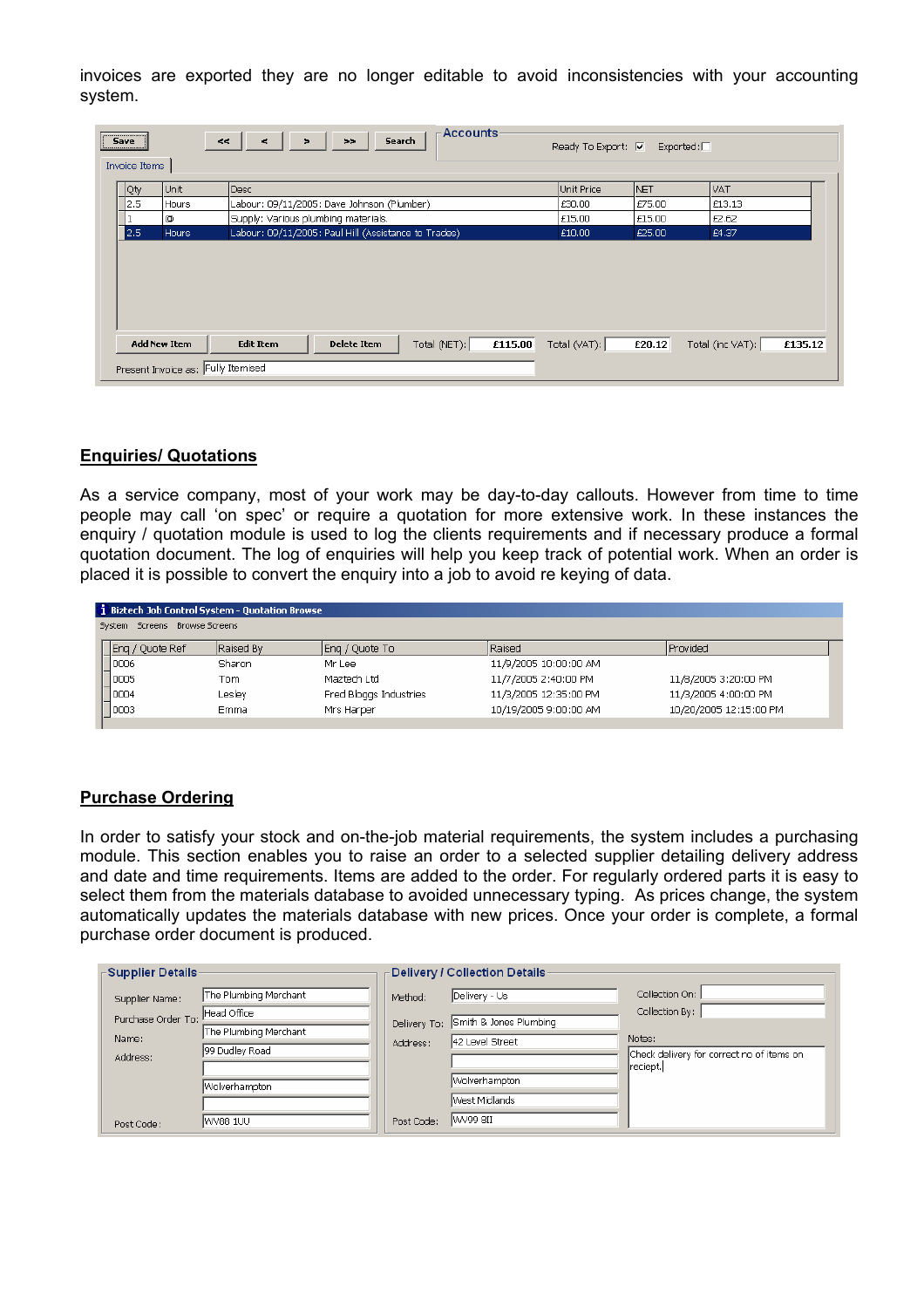invoices are exported they are no longer editable to avoid inconsistencies with your accounting system.

| <b>Accounts</b><br>Search<br>$\leq$<br>Save<br>$>$<br>$\leq$<br>$\blacksquare$<br>Ready To Export: $\nabla$ Exported: $\nabla$<br> |                     |                                                        |                    |              |         |              |            |                  |         |
|------------------------------------------------------------------------------------------------------------------------------------|---------------------|--------------------------------------------------------|--------------------|--------------|---------|--------------|------------|------------------|---------|
| Invoice Items                                                                                                                      |                     |                                                        |                    |              |         |              |            |                  |         |
| Qty                                                                                                                                | Unit                | <b>Desc</b>                                            |                    |              |         | Unit Price   | <b>NET</b> | <b>VAT</b>       |         |
| 2.5                                                                                                                                | Hours               | Labour: 09/11/2005: Dave Johnson (Plumber)             |                    |              |         | £30.00       | £75.00     | £13.13           |         |
|                                                                                                                                    | o                   | Supply: Various plumbing materials.                    |                    |              |         | £15.00       | £15.00     | £2.62            |         |
| 2.5                                                                                                                                | Hours.              | Labour: 09/11/2005: Paul Hill (Assistance to Trades)   |                    |              |         | £10.00       | £25.00     | £4.37            |         |
|                                                                                                                                    | <b>Add New Item</b> | <b>Edit Item</b><br>Present Invoice as: Fully Itemised | <b>Delete Item</b> | Total (NET): | £115.00 | Total (VAT): | £20.12     | Total (inc VAT): | £135.12 |
|                                                                                                                                    |                     |                                                        |                    |              |         |              |            |                  |         |

#### **Enquiries/ Quotations**

As a service company, most of your work may be day-to-day callouts. However from time to time people may call 'on spec' or require a quotation for more extensive work. In these instances the enquiry / quotation module is used to log the clients requirements and if necessary produce a formal quotation document. The log of enquiries will help you keep track of potential work. When an order is placed it is possible to convert the enquiry into a job to avoid re keying of data.

|                               | Biztech Job Control System - Quotation Browse |           |                        |                       |                        |  |  |  |  |
|-------------------------------|-----------------------------------------------|-----------|------------------------|-----------------------|------------------------|--|--|--|--|
| System Screens Browse Screens |                                               |           |                        |                       |                        |  |  |  |  |
|                               | Fing / Quote Ref                              | Raised By | Eng / Quote To         | Raised                | Provided               |  |  |  |  |
|                               | 0006                                          | Sharon    | Mr Lee                 | 11/9/2005 10:00:00 AM |                        |  |  |  |  |
|                               |                                               | Tom.      | Maztech Ltd            | 11/7/2005 2:40:00 PM  | 11/8/2005 3:20:00 PM   |  |  |  |  |
|                               |                                               | Lesley    | Fred Bloggs Industries | 11/3/2005 12:35:00 PM | 11/3/2005 4:00:00 PM   |  |  |  |  |
|                               |                                               | Emma      | Mrs Harper             | 10/19/2005 9:00:00 AM | 10/20/2005 12:15:00 PM |  |  |  |  |
|                               |                                               |           |                        |                       |                        |  |  |  |  |

#### **Purchase Ordering**

In order to satisfy your stock and on-the-job material requirements, the system includes a purchasing module. This section enables you to raise an order to a selected supplier detailing delivery address and date and time requirements. Items are added to the order. For regularly ordered parts it is easy to select them from the materials database to avoided unnecessary typing. As prices change, the system automatically updates the materials database with new prices. Once your order is complete, a formal purchase order document is produced.

| <b>Supplier Details</b> |                       |            | Delivery / Collection Details       |                                           |
|-------------------------|-----------------------|------------|-------------------------------------|-------------------------------------------|
| Supplier Name:          | The Plumbing Merchant | Method:    | Delivery - Us                       | Collection On: I                          |
| Purchase Order To:      | Head Office           |            | Delivery To: Smith & Jones Plumbing | Collection By:                            |
| Name:                   | The Plumbing Merchant | Address:   | 42 Level Street                     | Notes:                                    |
| Address:                | 99 Dudley Road        |            |                                     | Check delivery for correct no of items on |
|                         |                       |            | Wolverhampton                       | reciept.                                  |
|                         | Wolverhampton         |            | West Midlands                       |                                           |
|                         |                       |            | WV99 8II                            |                                           |
| Post Code:              | IWV88 1UU             | Post Code: |                                     |                                           |